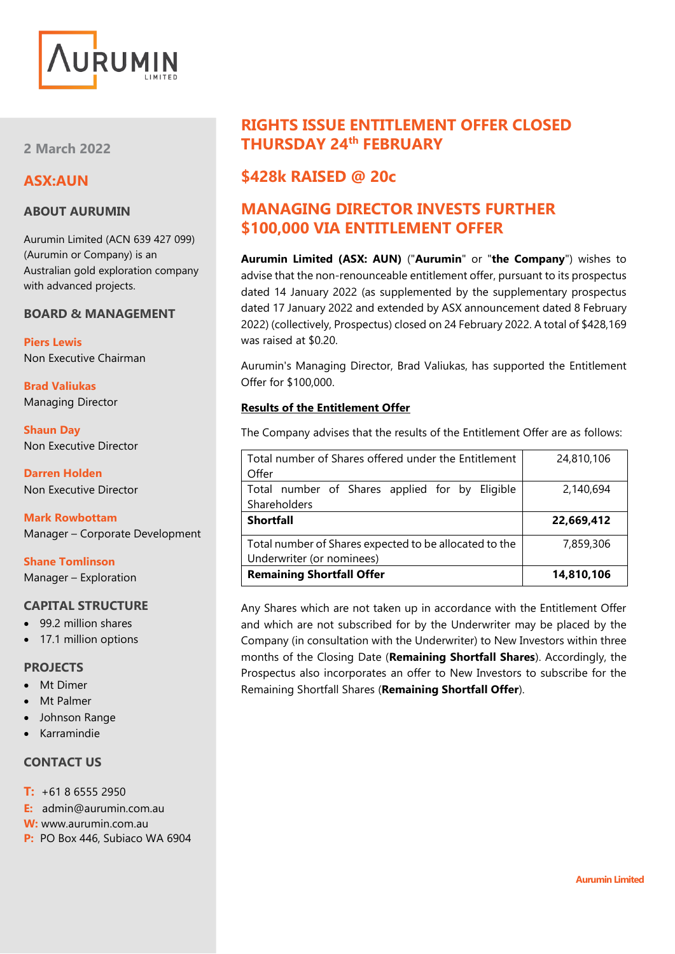

**2 March 2022**

# **ASX:AUN**

# **ABOUT AURUMIN**

Aurumin Limited (ACN 639 427 099) (Aurumin or Company) is an Australian gold exploration company with advanced projects.

### **BOARD & MANAGEMENT**

**Piers Lewis** Non Executive Chairman

**Brad Valiukas** Managing Director

**Shaun Day** Non Executive Director

**Darren Holden** Non Executive Director

**Mark Rowbottam** Manager – Corporate Development

**Shane Tomlinson** Manager – Exploration

## **CAPITAL STRUCTURE**

- 99.2 million shares
- 17.1 million options

#### **PROJECTS**

- Mt Dimer
- Mt Palmer
- Johnson Range
- Karramindie

# **CONTACT US**

- **T:** +61 8 6555 2950
- **E:** admin@aurumin.com.au
- **W:** www.aurumin.com.au
- **P:** PO Box 446, Subiaco WA 6904

# **RIGHTS ISSUE ENTITLEMENT OFFER CLOSED THURSDAY 24th FEBRUARY**

# **\$428k RAISED @ 20c**

# **MANAGING DIRECTOR INVESTS FURTHER \$100,000 VIA ENTITLEMENT OFFER**

**Aurumin Limited (ASX: AUN)** ("**Aurumin**" or "**the Company**") wishes to advise that the non-renounceable entitlement offer, pursuant to its prospectus dated 14 January 2022 (as supplemented by the supplementary prospectus dated 17 January 2022 and extended by ASX announcement dated 8 February 2022) (collectively, Prospectus) closed on 24 February 2022. A total of \$428,169 was raised at \$0.20.

Aurumin's Managing Director, Brad Valiukas, has supported the Entitlement Offer for \$100,000.

### **Results of the Entitlement Offer**

The Company advises that the results of the Entitlement Offer are as follows:

| Total number of Shares offered under the Entitlement   | 24,810,106 |
|--------------------------------------------------------|------------|
| Offer                                                  |            |
| Total number of Shares applied for by Eligible         | 2,140,694  |
| Shareholders                                           |            |
| <b>Shortfall</b>                                       | 22,669,412 |
| Total number of Shares expected to be allocated to the | 7,859,306  |
| Underwriter (or nominees)                              |            |
| <b>Remaining Shortfall Offer</b>                       | 14,810,106 |

Any Shares which are not taken up in accordance with the Entitlement Offer and which are not subscribed for by the Underwriter may be placed by the Company (in consultation with the Underwriter) to New Investors within three months of the Closing Date (**Remaining Shortfall Shares**). Accordingly, the Prospectus also incorporates an offer to New Investors to subscribe for the Remaining Shortfall Shares (**Remaining Shortfall Offer**).